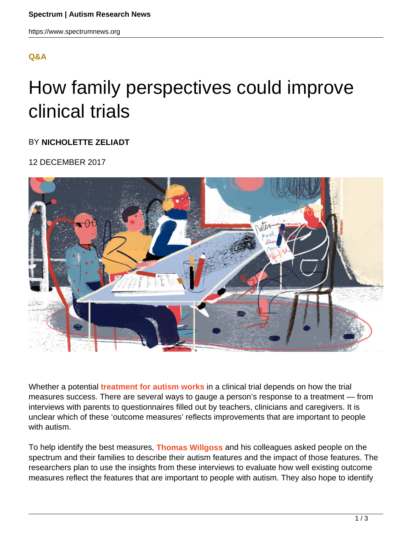# **[Q&A](HTTPS://WWW.SPECTRUMNEWS.ORG/OPINION/Q-AND-A/)**

# How family perspectives could improve clinical trials

## BY **NICHOLETTE ZELIADT**

### 12 DECEMBER 2017



Whether a potential **treatment for autism works** in a clinical trial depends on how the trial measures success. There are several ways to gauge a person's response to a treatment — from interviews with parents to questionnaires filled out by teachers, clinicians and caregivers. It is unclear which of these 'outcome measures' reflects improvements that are important to people with autism.

To help identify the best measures, **Thomas Willgoss** and his colleagues asked people on the spectrum and their families to describe their autism features and the impact of those features. The researchers plan to use the insights from these interviews to evaluate how well existing outcome measures reflect the features that are important to people with autism. They also hope to identify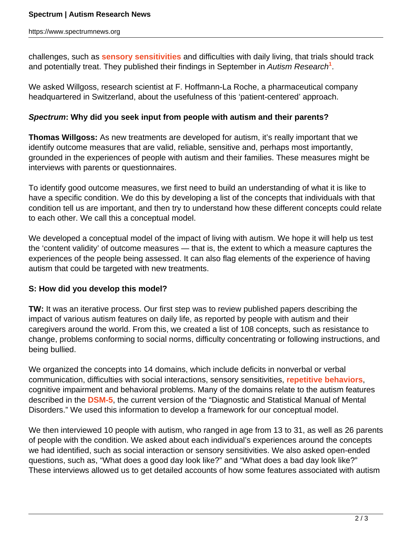challenges, such as **sensory sensitivities** and difficulties with daily living, that trials should track and potentially treat. They published their findings in September in *Autism Research*<sup>1</sup>.

We asked Willgoss, research scientist at F. Hoffmann-La Roche, a pharmaceutical company headquartered in Switzerland, about the usefulness of this 'patient-centered' approach.

## **Spectrum: Why did you seek input from people with autism and their parents?**

**Thomas Willgoss:** As new treatments are developed for autism, it's really important that we identify outcome measures that are valid, reliable, sensitive and, perhaps most importantly, grounded in the experiences of people with autism and their families. These measures might be interviews with parents or questionnaires.

To identify good outcome measures, we first need to build an understanding of what it is like to have a specific condition. We do this by developing a list of the concepts that individuals with that condition tell us are important, and then try to understand how these different concepts could relate to each other. We call this a conceptual model.

We developed a conceptual model of the impact of living with autism. We hope it will help us test the 'content validity' of outcome measures — that is, the extent to which a measure captures the experiences of the people being assessed. It can also flag elements of the experience of having autism that could be targeted with new treatments.

## **S: How did you develop this model?**

**TW:** It was an iterative process. Our first step was to review published papers describing the impact of various autism features on daily life, as reported by people with autism and their caregivers around the world. From this, we created a list of 108 concepts, such as resistance to change, problems conforming to social norms, difficulty concentrating or following instructions, and being bullied.

We organized the concepts into 14 domains, which include deficits in nonverbal or verbal communication, difficulties with social interactions, sensory sensitivities, **repetitive behaviors**, cognitive impairment and behavioral problems. Many of the domains relate to the autism features described in the **DSM-5**, the current version of the "Diagnostic and Statistical Manual of Mental Disorders." We used this information to develop a framework for our conceptual model.

We then interviewed 10 people with autism, who ranged in age from 13 to 31, as well as 26 parents of people with the condition. We asked about each individual's experiences around the concepts we had identified, such as social interaction or sensory sensitivities. We also asked open-ended questions, such as, "What does a good day look like?" and "What does a bad day look like?" These interviews allowed us to get detailed accounts of how some features associated with autism